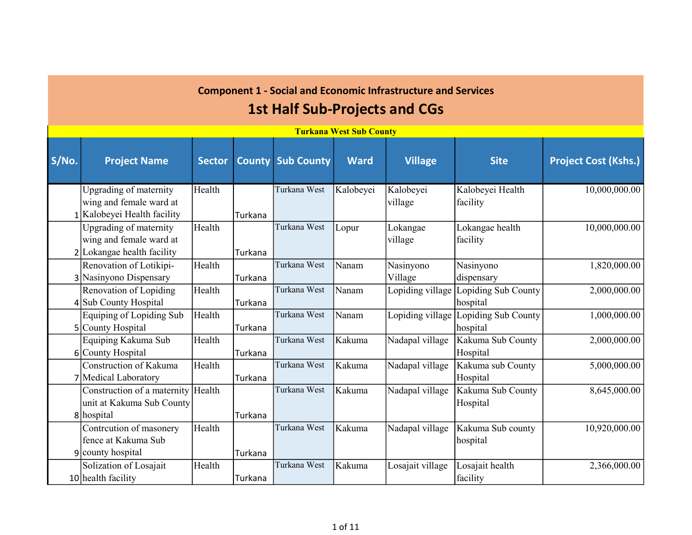#### S/No. Project Name Sector County Sub County Ward Village Site Project Cost (Kshs.) 1 Kalobeyei Health facility Upgrading of maternity wing and female ward at Health Turkana Turkana West | Kalobeyei | Kalobeyei village Kalobeyei Health facility 10,000,000.00 2 Lokangae health facility Upgrading of maternity wing and female ward at Health Turkana Turkana West Lopur Lokangae village Lokangae health facility 10,000,000.00 3 Nasinyono Dispensary Renovation of Lotikipi-Health Turkana Turkana West Nanam Nasinyono Village Nasinyono dispensary 1,820,000.00 4 Sub County Hospital Renovation of Lopiding Health Turkana Turkana West Nanam Lopiding village Lopiding Sub County hospital 2,000,000.00 5 County Hospital Equiping of Lopiding Sub Health Turkana Turkana West Nanam Lopiding village Lopiding Sub County hospital 1,000,000.00 6 County Hospital Equiping Kakuma Sub Health Turkana Turkana West Kakuma Nadapal village Kakuma Sub County Hospital 2,000,000.00 7 Medical Laboratory Construction of Kakuma Health Turkana Turkana West | Kakuma | Nadapal village | Kakuma sub County Hospital 5,000,000.00 Construction of a maternity Health unit at Kakuma Sub County Turkana West Kakuma Nadapal village Kakuma Sub County Hospital 8,645,000.00 Turkana West Sub County 1st Half Sub-Projects and CGs

# Component 1 - Social and Economic Infrastructure and Services

Turkana West | Kakuma | Nadapal village | Kakuma Sub county

Turkana West | Kakuma | Losajait village | Losajait health

hospital

facility

10,920,000.00

2,366,000.00

Turkana

Turkana

Turkana

Health

Health

8 hospital

9 county hospital

10 health facility

Contrcution of masonery fence at Kakuma Sub

Solization of Losajait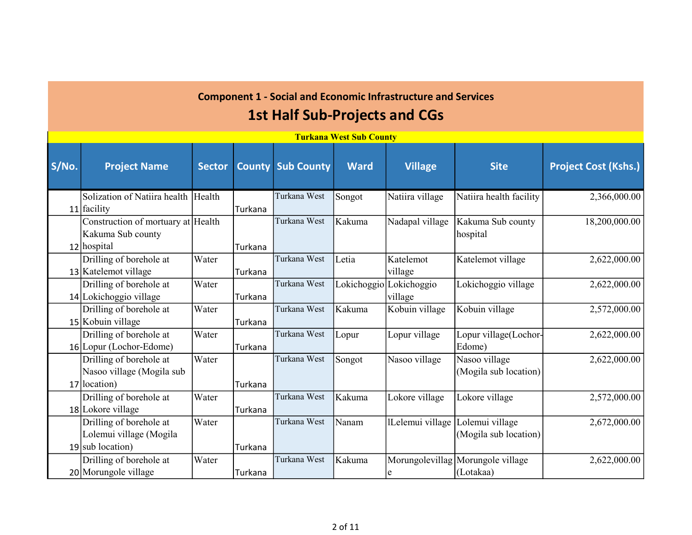#### 1st Half Sub-Projects and CGs

|       | <b>Turkana West Sub County</b>      |               |               |                   |             |                  |                                   |                             |  |  |  |  |  |
|-------|-------------------------------------|---------------|---------------|-------------------|-------------|------------------|-----------------------------------|-----------------------------|--|--|--|--|--|
| S/No. | <b>Project Name</b>                 | <b>Sector</b> | <b>County</b> | <b>Sub County</b> | <b>Ward</b> | <b>Village</b>   | <b>Site</b>                       | <b>Project Cost (Kshs.)</b> |  |  |  |  |  |
|       | Solization of Natiira health Health |               |               | Turkana West      | Songot      | Natiira village  | Natiira health facility           | 2,366,000.00                |  |  |  |  |  |
|       | $11$ facility                       |               | Turkana       |                   |             |                  |                                   |                             |  |  |  |  |  |
|       | Construction of mortuary at Health  |               |               | Turkana West      | Kakuma      | Nadapal village  | Kakuma Sub county                 | 18,200,000.00               |  |  |  |  |  |
|       | Kakuma Sub county                   |               |               |                   |             |                  | hospital                          |                             |  |  |  |  |  |
|       | 12 hospital                         |               | Turkana       |                   |             |                  |                                   |                             |  |  |  |  |  |
|       | Drilling of borehole at             | Water         |               | Turkana West      | Letia       | Katelemot        | Katelemot village                 | 2,622,000.00                |  |  |  |  |  |
|       | 13 Katelemot village                |               | Turkana       |                   |             | village          |                                   |                             |  |  |  |  |  |
|       | Drilling of borehole at             | Water         |               | Turkana West      | Lokichoggio | Lokichoggio      | Lokichoggio village               | 2,622,000.00                |  |  |  |  |  |
|       | 14 Lokichoggio village              |               | Turkana       |                   |             | village          |                                   |                             |  |  |  |  |  |
|       | Drilling of borehole at             | Water         |               | Turkana West      | Kakuma      | Kobuin village   | Kobuin village                    | 2,572,000.00                |  |  |  |  |  |
|       | 15 Kobuin village                   |               | Turkana       |                   |             |                  |                                   |                             |  |  |  |  |  |
|       | Drilling of borehole at             | Water         |               | Turkana West      | Lopur       | Lopur village    | Lopur village(Lochor-             | 2,622,000.00                |  |  |  |  |  |
|       | 16 Lopur (Lochor-Edome)             |               | Turkana       |                   |             |                  | Edome)                            |                             |  |  |  |  |  |
|       | Drilling of borehole at             | Water         |               | Turkana West      | Songot      | Nasoo village    | Nasoo village                     | 2,622,000.00                |  |  |  |  |  |
|       | Nasoo village (Mogila sub           |               |               |                   |             |                  | (Mogila sub location)             |                             |  |  |  |  |  |
|       | 17 location)                        |               | Turkana       |                   |             |                  |                                   |                             |  |  |  |  |  |
|       | Drilling of borehole at             | Water         |               | Turkana West      | Kakuma      | Lokore village   | Lokore village                    | 2,572,000.00                |  |  |  |  |  |
|       | 18 Lokore village                   |               | Turkana       |                   |             |                  |                                   |                             |  |  |  |  |  |
|       | Drilling of borehole at             | Water         |               | Turkana West      | Nanam       | lLelemui village | Lolemui village                   | 2,672,000.00                |  |  |  |  |  |
|       | Lolemui village (Mogila             |               |               |                   |             |                  | (Mogila sub location)             |                             |  |  |  |  |  |
|       | $19$ sub location)                  |               | Turkana       |                   |             |                  |                                   |                             |  |  |  |  |  |
|       | Drilling of borehole at             | Water         |               | Turkana West      | Kakuma      |                  | Morungolevillag Morungole village | 2,622,000.00                |  |  |  |  |  |
|       | 20 Morungole village                |               | Turkana       |                   |             | e                | (Lotakaa)                         |                             |  |  |  |  |  |

Turkana West Sub County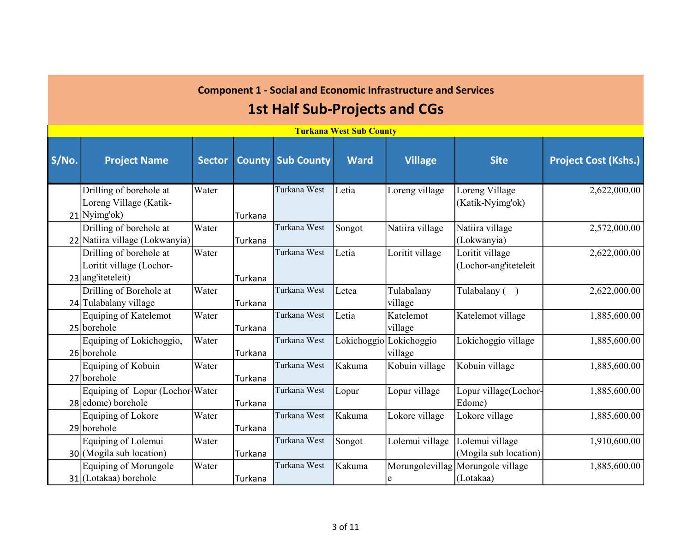|       | <b>Turkana West Sub County</b>                                                  |               |                |                          |             |                                    |                                                |                             |  |  |  |  |  |
|-------|---------------------------------------------------------------------------------|---------------|----------------|--------------------------|-------------|------------------------------------|------------------------------------------------|-----------------------------|--|--|--|--|--|
| S/No. | <b>Project Name</b>                                                             | <b>Sector</b> |                | <b>County Sub County</b> | <b>Ward</b> | <b>Village</b>                     | <b>Site</b>                                    | <b>Project Cost (Kshs.)</b> |  |  |  |  |  |
|       | Drilling of borehole at<br>Loreng Village (Katik-<br>$21$ <sup>Nyimg'ok</sup> ) | Water         | Turkana        | Turkana West             | Letia       | Loreng village                     | Loreng Village<br>(Katik-Nyimg'ok)             | 2,622,000.00                |  |  |  |  |  |
|       | Drilling of borehole at<br>22 Natiira village (Lokwanyia)                       | Water         | <b>Turkana</b> | Turkana West             | Songot      | Natiira village                    | Natiira village<br>(Lokwanyia)                 | 2,572,000.00                |  |  |  |  |  |
|       | Drilling of borehole at<br>Loritit village (Lochor-<br>$23$ ang'iteteleit)      | Water         | Turkana        | Turkana West             | Letia       | Loritit village                    | Loritit village<br>(Lochor-angliteteleit       | 2,622,000.00                |  |  |  |  |  |
|       | Drilling of Borehole at<br>24 Tulabalany village                                | Water         | <b>Turkana</b> | Turkana West             | Letea       | Tulabalany<br>village              | Tulabalany ()                                  | 2,622,000.00                |  |  |  |  |  |
|       | Equiping of Katelemot<br>25 borehole                                            | Water         | Turkana        | Turkana West             | Letia       | Katelemot<br>village               | Katelemot village                              | 1,885,600.00                |  |  |  |  |  |
|       | Equiping of Lokichoggio,<br>26 borehole                                         | Water         | <b>Turkana</b> | Turkana West             |             | Lokichoggio Lokichoggio<br>village | Lokichoggio village                            | 1,885,600.00                |  |  |  |  |  |
|       | Equiping of Kobuin<br>27 borehole                                               | Water         | Turkana        | Turkana West             | Kakuma      | Kobuin village                     | Kobuin village                                 | 1,885,600.00                |  |  |  |  |  |
|       | Equiping of Lopur (Lochor Water<br>28 edome) borehole                           |               | Turkana        | Turkana West             | Lopur       | Lopur village                      | Lopur village(Lochor-<br>Edome)                | 1,885,600.00                |  |  |  |  |  |
|       | Equiping of Lokore<br>29 borehole                                               | Water         | Turkana        | Turkana West             | Kakuma      | Lokore village                     | Lokore village                                 | 1,885,600.00                |  |  |  |  |  |
|       | Equiping of Lolemui<br>$30$ (Mogila sub location)                               | Water         | Turkana        | Turkana West             | Songot      | Lolemui village                    | Lolemui village<br>(Mogila sub location)       | 1,910,600.00                |  |  |  |  |  |
|       | <b>Equiping of Morungole</b><br>$31$ (Lotakaa) borehole                         | Water         | Turkana        | Turkana West             | Kakuma      | e                                  | Morungolevillag Morungole village<br>(Lotakaa) | 1,885,600.00                |  |  |  |  |  |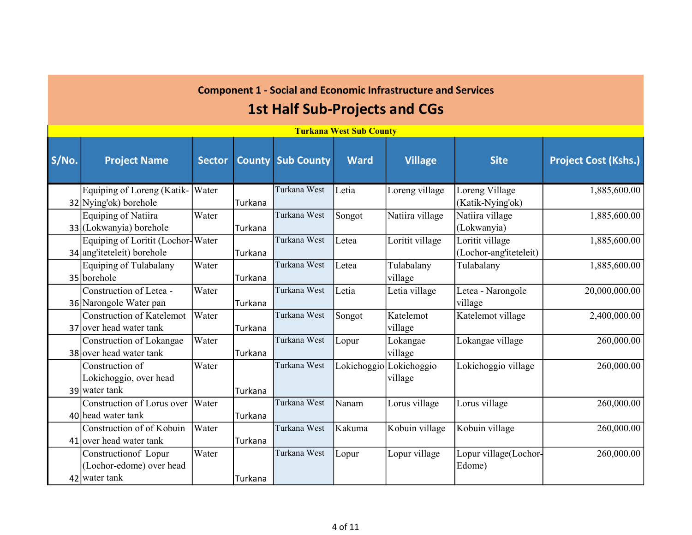|       | <b>Turkana West Sub County</b>                                    |               |                |                          |             |                                    |                                           |                             |  |  |  |  |  |
|-------|-------------------------------------------------------------------|---------------|----------------|--------------------------|-------------|------------------------------------|-------------------------------------------|-----------------------------|--|--|--|--|--|
| S/No. | <b>Project Name</b>                                               | <b>Sector</b> |                | <b>County Sub County</b> | <b>Ward</b> | <b>Village</b>                     | <b>Site</b>                               | <b>Project Cost (Kshs.)</b> |  |  |  |  |  |
|       | Equiping of Loreng (Katik-<br>32 Nying'ok) borehole               | Water         | Turkana        | Turkana West             | Letia       | Loreng village                     | Loreng Village<br>(Katik-Nying'ok)        | 1,885,600.00                |  |  |  |  |  |
|       | Equiping of Natiira<br>33 (Lokwanyia) borehole                    | Water         | Turkana        | Turkana West             | Songot      | Natiira village                    | Natiira village<br>(Lokwanyia)            | 1,885,600.00                |  |  |  |  |  |
|       | Equiping of Loritit (Lochor-Water<br>$34$ angliteteleit) borehole |               | Turkana        | Turkana West             | Letea       | Loritit village                    | Loritit village<br>(Lochor-ang'iteteleit) | 1,885,600.00                |  |  |  |  |  |
|       | Equiping of Tulabalany<br>35 borehole                             | Water         | Turkana        | Turkana West             | Letea       | Tulabalany<br>village              | Tulabalany                                | 1,885,600.00                |  |  |  |  |  |
|       | Construction of Letea -<br>36 Narongole Water pan                 | Water         | Turkana        | Turkana West             | Letia       | Letia village                      | Letea - Narongole<br>village              | 20,000,000.00               |  |  |  |  |  |
|       | <b>Construction of Katelemot</b><br>37 over head water tank       | Water         | <b>Turkana</b> | Turkana West             | Songot      | Katelemot<br>village               | Katelemot village                         | 2,400,000.00                |  |  |  |  |  |
|       | Construction of Lokangae<br>38 over head water tank               | Water         | Turkana        | Turkana West             | Lopur       | Lokangae<br>village                | Lokangae village                          | 260,000.00                  |  |  |  |  |  |
|       | Construction of<br>Lokichoggio, over head<br>39 water tank        | Water         | Turkana        | Turkana West             |             | Lokichoggio Lokichoggio<br>village | Lokichoggio village                       | 260,000.00                  |  |  |  |  |  |
|       | Construction of Lorus over<br>40 head water tank                  | Water         | Turkana        | Turkana West             | Nanam       | Lorus village                      | Lorus village                             | 260,000.00                  |  |  |  |  |  |
|       | Construction of of Kobuin<br>$41$ over head water tank            | Water         | Turkana        | Turkana West             | Kakuma      | Kobuin village                     | Kobuin village                            | 260,000.00                  |  |  |  |  |  |
|       | Constructionof Lopur<br>(Lochor-edome) over head<br>42 water tank | Water         | Turkana        | Turkana West             | Lopur       | Lopur village                      | Lopur village(Lochor-<br>Edome)           | 260,000.00                  |  |  |  |  |  |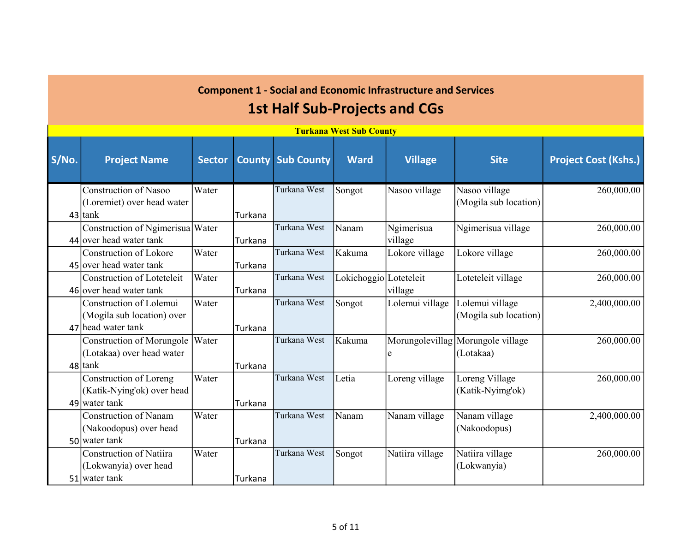|       | <b>Turkana West Sub County</b>                                              |               |                |                          |                        |                       |                                                |                             |  |  |  |  |  |
|-------|-----------------------------------------------------------------------------|---------------|----------------|--------------------------|------------------------|-----------------------|------------------------------------------------|-----------------------------|--|--|--|--|--|
| S/No. | <b>Project Name</b>                                                         | <b>Sector</b> |                | <b>County Sub County</b> | <b>Ward</b>            | <b>Village</b>        | <b>Site</b>                                    | <b>Project Cost (Kshs.)</b> |  |  |  |  |  |
|       | <b>Construction of Nasoo</b><br>(Loremiet) over head water<br>$43$ tank     | Water         | Turkana        | Turkana West             | Songot                 | Nasoo village         | Nasoo village<br>(Mogila sub location)         | 260,000.00                  |  |  |  |  |  |
|       | Construction of Ngimerisua Water<br>44 over head water tank                 |               | Turkana        | Turkana West             | Nanam                  | Ngimerisua<br>village | Ngimerisua village                             | 260,000.00                  |  |  |  |  |  |
|       | Construction of Lokore<br>45 over head water tank                           | Water         | <b>Turkana</b> | Turkana West             | Kakuma                 | Lokore village        | Lokore village                                 | 260,000.00                  |  |  |  |  |  |
|       | <b>Construction of Loteteleit</b><br>46 over head water tank                | Water         | Turkana        | Turkana West             | Lokichoggio Loteteleit | village               | Loteteleit village                             | 260,000.00                  |  |  |  |  |  |
|       | Construction of Lolemui<br>(Mogila sub location) over<br>47 head water tank | Water         | Turkana        | Turkana West             | Songot                 | Lolemui village       | Lolemui village<br>(Mogila sub location)       | 2,400,000.00                |  |  |  |  |  |
|       | Construction of Morungole<br>(Lotakaa) over head water<br>48 tank           | Water         | Turkana        | Turkana West             | Kakuma                 | e                     | Morungolevillag Morungole village<br>(Lotakaa) | 260,000.00                  |  |  |  |  |  |
|       | Construction of Loreng<br>(Katik-Nying'ok) over head<br>49 water tank       | Water         | Turkana        | Turkana West             | Letia                  | Loreng village        | Loreng Village<br>(Katik-Nyimg'ok)             | 260,000.00                  |  |  |  |  |  |
|       | <b>Construction of Nanam</b><br>(Nakoodopus) over head<br>50 water tank     | Water         | Turkana        | Turkana West             | Nanam                  | Nanam village         | Nanam village<br>(Nakoodopus)                  | 2,400,000.00                |  |  |  |  |  |
|       | <b>Construction of Natiira</b><br>(Lokwanyia) over head<br>51 water tank    | Water         | Turkana        | Turkana West             | Songot                 | Natiira village       | Natiira village<br>(Lokwanyia)                 | 260,000.00                  |  |  |  |  |  |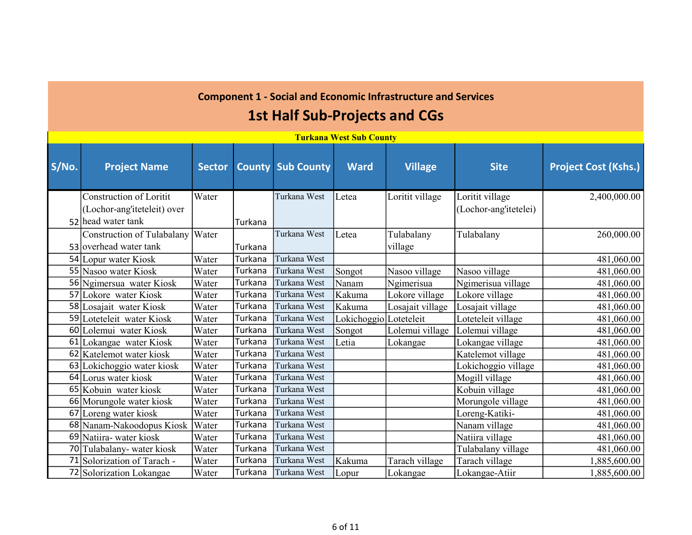#### 1st Half Sub-Projects and CGs

|       | <u>Turkana west Sud County</u> |               |         |                          |                        |                  |                       |                             |  |  |  |  |
|-------|--------------------------------|---------------|---------|--------------------------|------------------------|------------------|-----------------------|-----------------------------|--|--|--|--|
| S/No. | <b>Project Name</b>            | <b>Sector</b> |         | <b>County Sub County</b> | <b>Ward</b>            | <b>Village</b>   | <b>Site</b>           | <b>Project Cost (Kshs.)</b> |  |  |  |  |
|       | <b>Construction of Loritit</b> | Water         |         | Turkana West             | Letea                  | Loritit village  | Loritit village       | 2,400,000.00                |  |  |  |  |
|       | (Lochor-ang'iteteleit) over    |               |         |                          |                        |                  | (Lochor-ang'itetelei) |                             |  |  |  |  |
|       | 52 head water tank             |               | Turkana |                          |                        |                  |                       |                             |  |  |  |  |
|       | Construction of Tulabalany     | Water         |         | Turkana West             | Letea                  | Tulabalany       | Tulabalany            | 260,000.00                  |  |  |  |  |
|       | 53 overhead water tank         |               | Turkana |                          |                        | village          |                       |                             |  |  |  |  |
|       | 54 Lopur water Kiosk           | Water         | Turkana | Turkana West             |                        |                  |                       | 481,060.00                  |  |  |  |  |
|       | 55 Nasoo water Kiosk           | Water         | Turkana | Turkana West             | Songot                 | Nasoo village    | Nasoo village         | 481,060.00                  |  |  |  |  |
|       | 56 Ngimersua water Kiosk       | Water         | Turkana | Turkana West             | Nanam                  | Ngimerisua       | Ngimerisua village    | 481,060.00                  |  |  |  |  |
|       | 57 Lokore water Kiosk          | Water         | Turkana | Turkana West             | Kakuma                 | Lokore village   | Lokore village        | 481,060.00                  |  |  |  |  |
|       | 58 Losajait water Kiosk        | Water         | Turkana | Turkana West             | Kakuma                 | Losajait village | Losajait village      | 481,060.00                  |  |  |  |  |
|       | 59 Loteteleit water Kiosk      | Water         | Turkana | Turkana West             | Lokichoggio Loteteleit |                  | Loteteleit village    | 481,060.00                  |  |  |  |  |
|       | 60 Lolemui water Kiosk         | Water         | Turkana | Turkana West             | Songot                 | Lolemui village  | Lolemui village       | 481,060.00                  |  |  |  |  |
|       | 61 Lokangae water Kiosk        | Water         | Turkana | Turkana West             | Letia                  | Lokangae         | Lokangae village      | 481,060.00                  |  |  |  |  |
|       | 62 Katelemot water kiosk       | Water         | Turkana | Turkana West             |                        |                  | Katelemot village     | 481,060.00                  |  |  |  |  |
|       | 63 Lokichoggio water kiosk     | Water         | Turkana | Turkana West             |                        |                  | Lokichoggio village   | 481,060.00                  |  |  |  |  |
|       | 64 Lorus water kiosk           | Water         | Turkana | Turkana West             |                        |                  | Mogill village        | 481,060.00                  |  |  |  |  |
|       | 65 Kobuin water kiosk          | Water         | Turkana | Turkana West             |                        |                  | Kobuin village        | 481,060.00                  |  |  |  |  |
|       | 66 Morungole water kiosk       | Water         | Turkana | Turkana West             |                        |                  | Morungole village     | 481,060.00                  |  |  |  |  |
| 67    | Loreng water kiosk             | Water         | Turkana | Turkana West             |                        |                  | Loreng-Katiki-        | 481,060.00                  |  |  |  |  |
|       | 68 Nanam-Nakoodopus Kiosk      | Water         | Turkana | Turkana West             |                        |                  | Nanam village         | 481,060.00                  |  |  |  |  |
|       | 69 Natiira- water kiosk        | Water         | Turkana | Turkana West             |                        |                  | Natiira village       | 481,060.00                  |  |  |  |  |
|       | 70 Tulabalany- water kiosk     | Water         | Turkana | Turkana West             |                        |                  | Tulabalany village    | 481,060.00                  |  |  |  |  |
|       | 71 Solorization of Tarach -    | Water         | Turkana | Turkana West             | Kakuma                 | Tarach village   | Tarach village        | 1,885,600.00                |  |  |  |  |
|       | 72 Solorization Lokangae       | Water         | Turkana | Turkana West             | Lopur                  | Lokangae         | Lokangae-Atiir        | 1,885,600.00                |  |  |  |  |

Turkana West Sub County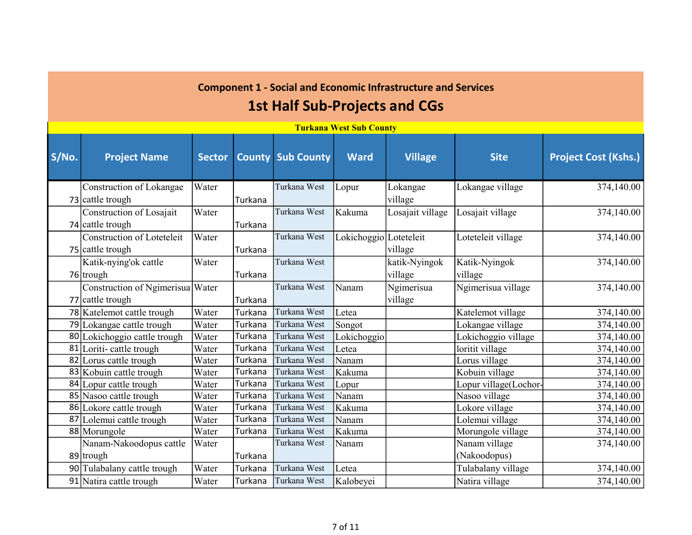|       | <b>Turkana West Sub County</b>    |               |         |                          |                        |                  |                       |                             |  |  |  |  |  |
|-------|-----------------------------------|---------------|---------|--------------------------|------------------------|------------------|-----------------------|-----------------------------|--|--|--|--|--|
| S/No. | <b>Project Name</b>               | <b>Sector</b> |         | <b>County Sub County</b> | Ward                   | <b>Village</b>   | <b>Site</b>           | <b>Project Cost (Kshs.)</b> |  |  |  |  |  |
|       | Construction of Lokangae          | Water         |         | Turkana West             | Lopur                  | Lokangae         | Lokangae village      | 374,140.00                  |  |  |  |  |  |
|       | 73 cattle trough                  |               | Turkana |                          |                        | village          |                       |                             |  |  |  |  |  |
|       | Construction of Losajait          | Water         |         | Turkana West             | Kakuma                 | Losajait village | Losajait village      | 374,140.00                  |  |  |  |  |  |
|       | $74$ cattle trough                |               | Turkana |                          |                        |                  |                       |                             |  |  |  |  |  |
|       | <b>Construction of Loteteleit</b> | Water         |         | Turkana West             | Lokichoggio Loteteleit |                  | Loteteleit village    | 374,140.00                  |  |  |  |  |  |
|       | 75 cattle trough                  |               | Turkana |                          |                        | village          |                       |                             |  |  |  |  |  |
|       | Katik-nying'ok cattle             | Water         |         | Turkana West             |                        | katik-Nyingok    | Katik-Nyingok         | 374,140.00                  |  |  |  |  |  |
|       | 76 trough                         |               | Turkana |                          |                        | village          | village               |                             |  |  |  |  |  |
|       | Construction of Ngimerisua Water  |               |         | Turkana West             | Nanam                  | Ngimerisua       | Ngimerisua village    | 374,140.00                  |  |  |  |  |  |
|       | 77 cattle trough                  |               | Turkana |                          |                        | village          |                       |                             |  |  |  |  |  |
|       | 78 Katelemot cattle trough        | Water         | Turkana | Turkana West             | Letea                  |                  | Katelemot village     | 374,140.00                  |  |  |  |  |  |
|       | 79 Lokangae cattle trough         | Water         | Turkana | Turkana West             | Songot                 |                  | Lokangae village      | 374,140.00                  |  |  |  |  |  |
|       | 80 Lokichoggio cattle trough      | Water         | Turkana | Turkana West             | Lokichoggio            |                  | Lokichoggio village   | 374,140.00                  |  |  |  |  |  |
|       | 81 Loriti-cattle trough           | Water         | Turkana | Turkana West             | Letea                  |                  | loritit village       | 374,140.00                  |  |  |  |  |  |
|       | 82 Lorus cattle trough            | Water         | Turkana | Turkana West             | Nanam                  |                  | Lorus village         | 374,140.00                  |  |  |  |  |  |
|       | 83 Kobuin cattle trough           | Water         | Turkana | Turkana West             | Kakuma                 |                  | Kobuin village        | 374,140.00                  |  |  |  |  |  |
|       | 84 Lopur cattle trough            | Water         | Turkana | Turkana West             | Lopur                  |                  | Lopur village(Lochor- | 374,140.00                  |  |  |  |  |  |
|       | 85 Nasoo cattle trough            | Water         | Turkana | Turkana West             | Nanam                  |                  | Nasoo village         | 374,140.00                  |  |  |  |  |  |
|       | 86 Lokore cattle trough           | Water         | Turkana | Turkana West             | Kakuma                 |                  | Lokore village        | 374,140.00                  |  |  |  |  |  |
|       | 87 Lolemui cattle trough          | Water         | Turkana | Turkana West             | Nanam                  |                  | Lolemui village       | 374,140.00                  |  |  |  |  |  |
|       | 88 Morungole                      | Water         | Turkana | Turkana West             | Kakuma                 |                  | Morungole village     | 374,140.00                  |  |  |  |  |  |
|       | Nanam-Nakoodopus cattle           | Water         |         | Turkana West             | Nanam                  |                  | Nanam village         | 374,140.00                  |  |  |  |  |  |
|       | 89 trough                         |               | Turkana |                          |                        |                  | (Nakoodopus)          |                             |  |  |  |  |  |
|       | 90 Tulabalany cattle trough       | Water         | Turkana | Turkana West             | Letea                  |                  | Tulabalany village    | 374,140.00                  |  |  |  |  |  |
|       | 91 Natira cattle trough           | Water         | Turkana | Turkana West             | Kalobeyei              |                  | Natira village        | 374,140.00                  |  |  |  |  |  |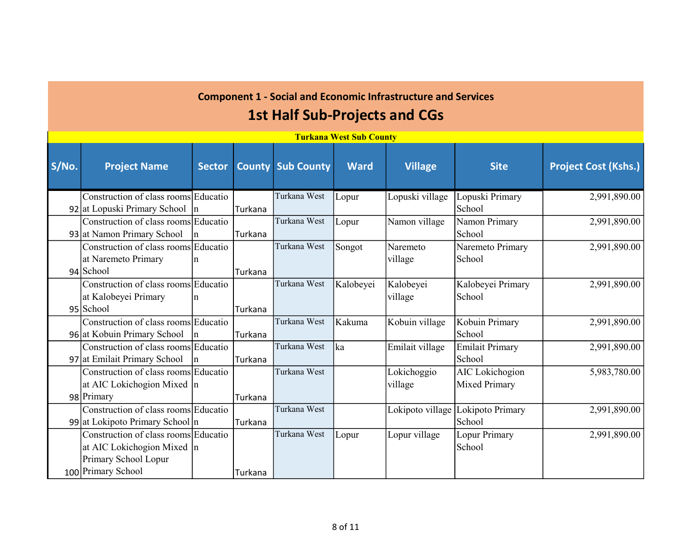|       | <b>Turkana West Sub County</b>         |               |         |                          |             |                 |                                   |                             |  |  |  |  |  |
|-------|----------------------------------------|---------------|---------|--------------------------|-------------|-----------------|-----------------------------------|-----------------------------|--|--|--|--|--|
| S/No. | <b>Project Name</b>                    | <b>Sector</b> |         | <b>County Sub County</b> | <b>Ward</b> | <b>Village</b>  | <b>Site</b>                       | <b>Project Cost (Kshs.)</b> |  |  |  |  |  |
|       | Construction of class rooms Educatio   |               |         | Turkana West             | Lopur       | Lopuski village | Lopuski Primary                   | 2,991,890.00                |  |  |  |  |  |
|       | 92 at Lopuski Primary School $\vert$ n |               | Turkana |                          |             |                 | <b>School</b>                     |                             |  |  |  |  |  |
|       | Construction of class rooms Educatio   |               |         | Turkana West             | Lopur       | Namon village   | Namon Primary                     | 2,991,890.00                |  |  |  |  |  |
|       | 93 at Namon Primary School             | n             | Turkana |                          |             |                 | School                            |                             |  |  |  |  |  |
|       | Construction of class rooms Educatio   |               |         | Turkana West             | Songot      | Naremeto        | Naremeto Primary                  | 2,991,890.00                |  |  |  |  |  |
|       | at Naremeto Primary                    | n             |         |                          |             | village         | School                            |                             |  |  |  |  |  |
|       | 94 School                              |               | Turkana |                          |             |                 |                                   |                             |  |  |  |  |  |
|       | Construction of class rooms Educatio   |               |         | Turkana West             | Kalobeyei   | Kalobeyei       | Kalobeyei Primary                 | 2,991,890.00                |  |  |  |  |  |
|       | at Kalobeyei Primary                   | n             |         |                          |             | village         | School                            |                             |  |  |  |  |  |
|       | 95 School                              |               | Turkana |                          |             |                 |                                   |                             |  |  |  |  |  |
|       | Construction of class rooms Educatio   |               |         | Turkana West             | Kakuma      | Kobuin village  | Kobuin Primary                    | 2,991,890.00                |  |  |  |  |  |
|       | 96 at Kobuin Primary School            | n             | Turkana |                          |             |                 | School                            |                             |  |  |  |  |  |
|       | Construction of class rooms Educatio   |               |         | Turkana West             | ka          | Emilait village | <b>Emilait Primary</b>            | 2,991,890.00                |  |  |  |  |  |
|       | 97 at Emilait Primary School           | $\ln$         | Turkana |                          |             |                 | School                            |                             |  |  |  |  |  |
|       | Construction of class rooms Educatio   |               |         | Turkana West             |             | Lokichoggio     | AIC Lokichogion                   | 5,983,780.00                |  |  |  |  |  |
|       | at AIC Lokichogion Mixed $ n $         |               |         |                          |             | village         | Mixed Primary                     |                             |  |  |  |  |  |
|       | 98 Primary                             |               | Turkana |                          |             |                 |                                   |                             |  |  |  |  |  |
|       | Construction of class rooms Educatio   |               |         | Turkana West             |             |                 | Lokipoto village Lokipoto Primary | 2,991,890.00                |  |  |  |  |  |
|       | 99 at Lokipoto Primary School $ n $    |               | Turkana |                          |             |                 | School                            |                             |  |  |  |  |  |
|       | Construction of class rooms Educatio   |               |         | Turkana West             | Lopur       | Lopur village   | Lopur Primary                     | 2,991,890.00                |  |  |  |  |  |
|       | at AIC Lokichogion Mixed $ n $         |               |         |                          |             |                 | School                            |                             |  |  |  |  |  |
|       | Primary School Lopur                   |               |         |                          |             |                 |                                   |                             |  |  |  |  |  |
|       | 100 Primary School                     |               | Turkana |                          |             |                 |                                   |                             |  |  |  |  |  |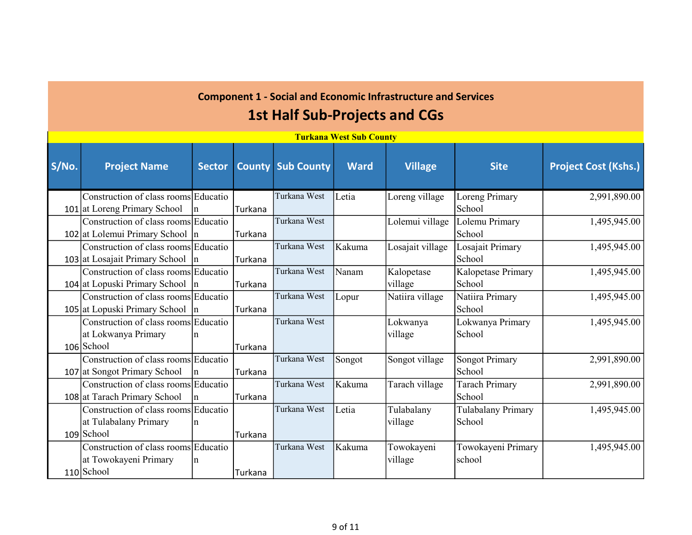|       | <b>Turkana West Sub County</b>       |               |         |                          |             |                  |                       |                             |  |  |  |  |  |
|-------|--------------------------------------|---------------|---------|--------------------------|-------------|------------------|-----------------------|-----------------------------|--|--|--|--|--|
| S/No. | <b>Project Name</b>                  | <b>Sector</b> |         | <b>County Sub County</b> | <b>Ward</b> | <b>Village</b>   | <b>Site</b>           | <b>Project Cost (Kshs.)</b> |  |  |  |  |  |
|       | Construction of class rooms Educatio |               |         | Turkana West             | Letia       | Loreng village   | Loreng Primary        | 2,991,890.00                |  |  |  |  |  |
|       | 101 at Loreng Primary School         | In.           | Turkana |                          |             |                  | School                |                             |  |  |  |  |  |
|       | Construction of class rooms Educatio |               |         | Turkana West             |             | Lolemui village  | Lolemu Primary        | 1,495,945.00                |  |  |  |  |  |
|       | 102 at Lolemui Primary School $ n $  |               | Turkana |                          |             |                  | School                |                             |  |  |  |  |  |
|       | Construction of class rooms Educatio |               |         | Turkana West             | Kakuma      | Losajait village | Losajait Primary      | 1,495,945.00                |  |  |  |  |  |
|       | 103 at Losajait Primary School  n    |               | Turkana |                          |             |                  | School                |                             |  |  |  |  |  |
|       | Construction of class rooms Educatio |               |         | Turkana West             | Nanam       | Kalopetase       | Kalopetase Primary    | 1,495,945.00                |  |  |  |  |  |
|       | 104 at Lopuski Primary School $ n $  |               | Turkana |                          |             | village          | School                |                             |  |  |  |  |  |
|       | Construction of class rooms Educatio |               |         | Turkana West             | Lopur       | Natiira village  | Natiira Primary       | 1,495,945.00                |  |  |  |  |  |
|       | 105 at Lopuski Primary School $ n $  |               | Turkana |                          |             |                  | School                |                             |  |  |  |  |  |
|       | Construction of class rooms Educatio |               |         | Turkana West             |             | Lokwanya         | Lokwanya Primary      | 1,495,945.00                |  |  |  |  |  |
|       | at Lokwanya Primary                  | In            |         |                          |             | village          | School                |                             |  |  |  |  |  |
|       | 106 School                           |               | Turkana |                          |             |                  |                       |                             |  |  |  |  |  |
|       | Construction of class rooms Educatio |               |         | Turkana West             | Songot      | Songot village   | <b>Songot Primary</b> | 2,991,890.00                |  |  |  |  |  |
|       | 107 at Songot Primary School         | $\ln$         | Turkana |                          |             |                  | School                |                             |  |  |  |  |  |
|       | Construction of class rooms Educatio |               |         | Turkana West             | Kakuma      | Tarach village   | <b>Tarach Primary</b> | 2,991,890.00                |  |  |  |  |  |
|       | 108 at Tarach Primary School         | In.           | Turkana |                          |             |                  | School                |                             |  |  |  |  |  |
|       | Construction of class rooms Educatio |               |         | Turkana West             | Letia       | Tulabalany       | Tulabalany Primary    | 1,495,945.00                |  |  |  |  |  |
|       | at Tulabalany Primary                | n             |         |                          |             | village          | School                |                             |  |  |  |  |  |
|       | $109$ School                         |               | Turkana |                          |             |                  |                       |                             |  |  |  |  |  |
|       | Construction of class rooms Educatio |               |         | Turkana West             | Kakuma      | Towokayeni       | Towokayeni Primary    | 1,495,945.00                |  |  |  |  |  |
|       | at Towokayeni Primary                | In            |         |                          |             | village          | school                |                             |  |  |  |  |  |
|       | $110$ School                         |               | Turkana |                          |             |                  |                       |                             |  |  |  |  |  |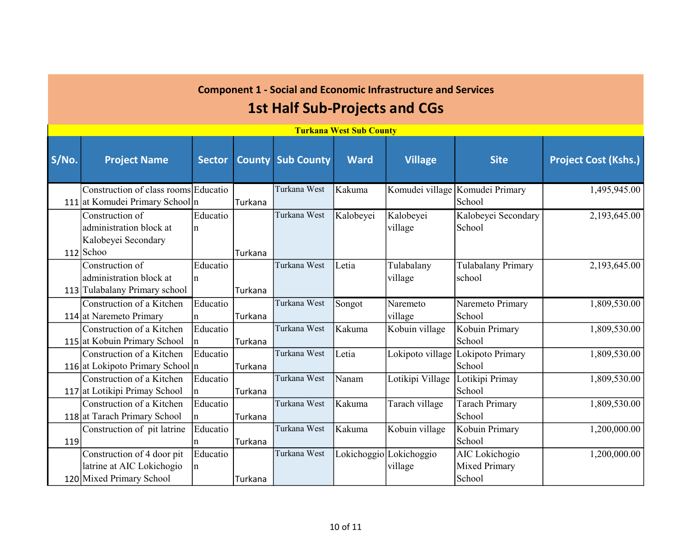|       | <b>Turkana West Sub County</b>       |               |         |                          |             |                         |                                 |                             |  |  |  |  |  |
|-------|--------------------------------------|---------------|---------|--------------------------|-------------|-------------------------|---------------------------------|-----------------------------|--|--|--|--|--|
| S/No. | <b>Project Name</b>                  | <b>Sector</b> |         | <b>County Sub County</b> | <b>Ward</b> | <b>Village</b>          | <b>Site</b>                     | <b>Project Cost (Kshs.)</b> |  |  |  |  |  |
|       | Construction of class rooms Educatio |               |         | Turkana West             | Kakuma      |                         | Komudei village Komudei Primary | 1,495,945.00                |  |  |  |  |  |
|       | 111 at Komudei Primary School n      |               | Turkana |                          |             |                         | School                          |                             |  |  |  |  |  |
|       | Construction of                      | Educatio      |         | Turkana West             | Kalobeyei   | Kalobeyei               | Kalobeyei Secondary             | 2,193,645.00                |  |  |  |  |  |
|       | administration block at              | $\ln$         |         |                          |             | village                 | School                          |                             |  |  |  |  |  |
|       | Kalobeyei Secondary                  |               |         |                          |             |                         |                                 |                             |  |  |  |  |  |
|       | 112 Schoo                            |               | Turkana |                          |             |                         |                                 |                             |  |  |  |  |  |
|       | Construction of                      | Educatio      |         | Turkana West             | Letia       | Tulabalany              | Tulabalany Primary              | 2,193,645.00                |  |  |  |  |  |
|       | administration block at              | In            |         |                          |             | village                 | school                          |                             |  |  |  |  |  |
|       | 113 Tulabalany Primary school        |               | Turkana |                          |             |                         |                                 |                             |  |  |  |  |  |
|       | Construction of a Kitchen            | Educatio      |         | Turkana West             | Songot      | Naremeto                | Naremeto Primary                | 1,809,530.00                |  |  |  |  |  |
|       | 114 at Naremeto Primary              | $\ln$         | Turkana |                          |             | village                 | School                          |                             |  |  |  |  |  |
|       | Construction of a Kitchen            | Educatio      |         | Turkana West             | Kakuma      | Kobuin village          | Kobuin Primary                  | 1,809,530.00                |  |  |  |  |  |
|       | 115 at Kobuin Primary School         | <sub>In</sub> | Turkana |                          |             |                         | School                          |                             |  |  |  |  |  |
|       | Construction of a Kitchen            | Educatio      |         | Turkana West             | Letia       | Lokipoto village        | Lokipoto Primary                | 1,809,530.00                |  |  |  |  |  |
|       | 116 at Lokipoto Primary School n     |               | Turkana |                          |             |                         | School                          |                             |  |  |  |  |  |
|       | Construction of a Kitchen            | Educatio      |         | Turkana West             | Nanam       | Lotikipi Village        | Lotikipi Primay                 | 1,809,530.00                |  |  |  |  |  |
|       | 117 at Lotikipi Primay School        | $\ln$         | Turkana |                          |             |                         | School                          |                             |  |  |  |  |  |
|       | Construction of a Kitchen            | Educatio      |         | Turkana West             | Kakuma      | Tarach village          | <b>Tarach Primary</b>           | 1,809,530.00                |  |  |  |  |  |
|       | 118 at Tarach Primary School         | $\mathsf{n}$  | Turkana |                          |             |                         | School                          |                             |  |  |  |  |  |
|       | Construction of pit latrine          | Educatio      |         | Turkana West             | Kakuma      | Kobuin village          | Kobuin Primary                  | 1,200,000.00                |  |  |  |  |  |
| 119   |                                      | n             | Turkana |                          |             |                         | School                          |                             |  |  |  |  |  |
|       | Construction of 4 door pit           | Educatio      |         | Turkana West             |             | Lokichoggio Lokichoggio | AIC Lokichogio                  | 1,200,000.00                |  |  |  |  |  |
|       | latrine at AIC Lokichogio            | In            |         |                          |             | village                 | Mixed Primary                   |                             |  |  |  |  |  |
|       | 120 Mixed Primary School             |               | Turkana |                          |             |                         | School                          |                             |  |  |  |  |  |